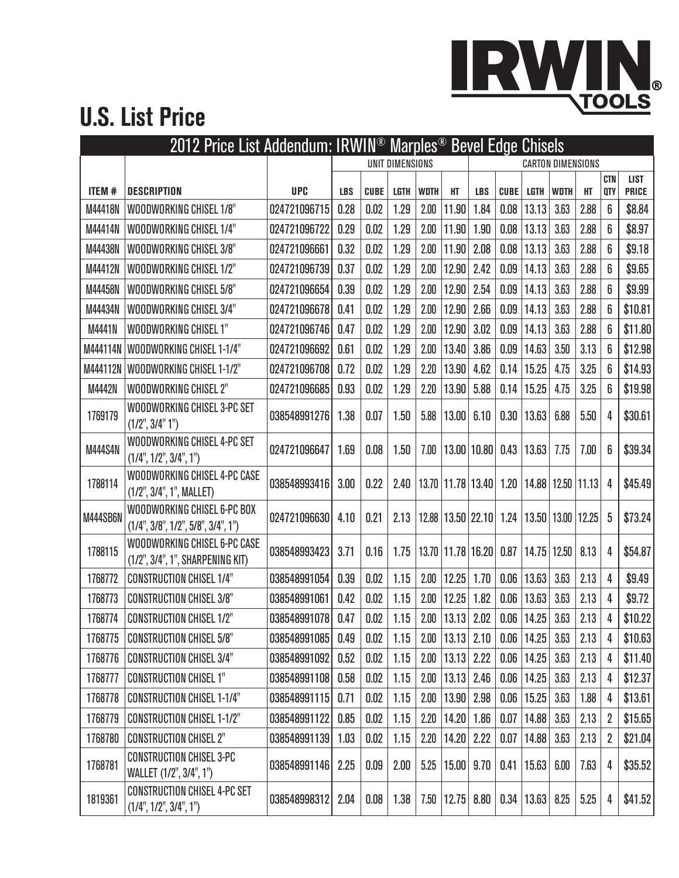

## **U.S. List Price**

|                |                                                                   |                   |                 | 2012 Price List Addendum: IRWIN <sup>®</sup> Marples <sup>®</sup> Bevel Edge Chisels |             |             |                       |                          |             |                |             |       |                   |                             |  |  |
|----------------|-------------------------------------------------------------------|-------------------|-----------------|--------------------------------------------------------------------------------------|-------------|-------------|-----------------------|--------------------------|-------------|----------------|-------------|-------|-------------------|-----------------------------|--|--|
|                |                                                                   |                   | UNIT DIMENSIONS |                                                                                      |             |             |                       | <b>CARTON DIMENSIONS</b> |             |                |             |       |                   |                             |  |  |
| ITEM #         | <b>DESCRIPTION</b>                                                | <b>UPC</b>        | <b>LBS</b>      | <b>CUBE</b>                                                                          | <b>LGTH</b> | <b>WDTH</b> | НT                    | <b>LBS</b>               | <b>CUBE</b> | <b>LGTH</b>    | <b>WDTH</b> | HT    | <b>CTN</b><br>QTY | <b>LIST</b><br><b>PRICE</b> |  |  |
| M44418N        | WOODWORKING CHISEL 1/8"                                           | 024721096715      | 0.28            | 0.02                                                                                 | 1.29        | 2.00        | 11.90                 | 1.84                     | 0.08        | 13.13          | 3.63        | 2.88  | 6                 | \$8.84                      |  |  |
| M44414N        | WOODWORKING CHISEL 1/4"                                           | 024721096722      | 0.29            | 0.02                                                                                 | 1.29        | 2.00        | 11.90                 | 1.90                     | 0.08        | 13.13          | 3.63        | 2.88  | 6                 | \$8.97                      |  |  |
| M44438N        | WOODWORKING CHISEL 3/8"                                           | 024721096661      | 0.32            | 0.02                                                                                 | 1.29        | 2.00        | 11.90                 | 2.08                     | 0.08        | 13.13          | 3.63        | 2.88  | 6                 | \$9.18                      |  |  |
| M44412N        | WOODWORKING CHISEL 1/2"                                           | 024721096739      | 0.37            | 0.02                                                                                 | 1.29        | 2.00        | 12.90                 | 2.42                     | 0.09        | 14.13          | 3.63        | 2.88  | 6                 | \$9.65                      |  |  |
| M44458N        | WOODWORKING CHISEL 5/8"                                           | 024721096654      | 0.39            | 0.02                                                                                 | 1.29        | 2.00        | 12.90                 | 2.54                     | 0.09        | 14.13          | 3.63        | 2.88  | 6                 | \$9.99                      |  |  |
| M44434N        | WOODWORKING CHISEL 3/4"                                           | 024721096678      | 0.41            | 0.02                                                                                 | 1.29        | 2.00        | 12.90                 | 2.66                     | 0.09        | 14.13          | 3.63        | 2.88  | 6                 | \$10.81                     |  |  |
| M4441N         | WOODWORKING CHISEL 1"                                             | 024721096746      | 0.47            | 0.02                                                                                 | 1.29        | 2.00        | 12.90                 | 3.02                     | 0.09        | 14.13          | 3.63        | 2.88  | 6                 | \$11.80                     |  |  |
| M444114N       | WOODWORKING CHISEL 1-1/4"                                         | 024721096692      | 0.61            | 0.02                                                                                 | 1.29        | 2.00        | 13.40                 | 3.86                     | 0.09        | 14.63          | 3.50        | 3.13  | 6                 | \$12.98                     |  |  |
| M444112N       | WOODWORKING CHISEL 1-1/2"                                         | 024721096708      | 0.72            | 0.02                                                                                 | 1.29        | 2.20        | 13.90                 | 4.62                     | 0.14        | 15.25          | 4.75        | 3.25  | 6                 | \$14.93                     |  |  |
| M4442N         | WOODWORKING CHISEL 2"                                             | 024721096685      | 0.93            | 0.02                                                                                 | 1.29        | 2.20        | 13.90                 | 5.88                     | 0.14        | 15.25          | 4.75        | 3.25  | 6                 | \$19.98                     |  |  |
| 1769179        | WOODWORKING CHISEL 3-PC SET<br>(1/2", 3/4" 1")                    | 038548991276      | 1.38            | 0.07                                                                                 | 1.50        | 5.88        | 13.00                 | 6.10                     | 0.30        | 13.63          | 6.88        | 5.50  | 4                 | \$30.61                     |  |  |
| <b>M444S4N</b> | WOODWORKING CHISEL 4-PC SET<br>(1/4", 1/2", 3/4", 1")             | 024721096647      | 1.69            | 0.08                                                                                 | 1.50        | 7.00        |                       | 13.00 10.80              | 0.43        | 13.63          | 7.75        | 7.00  | 6                 | \$39.34                     |  |  |
| 1788114        | WOODWORKING CHISEL 4-PC CASE<br>(1/2", 3/4", 1", MALLET)          | 038548993416      | 3.00            | 0.22                                                                                 | 2.40        |             | 13.70 11.78 13.40     |                          | 1.20        | 14.88          | 12.50       | 11.13 | 4                 | \$45.49                     |  |  |
| M444SB6N       | WOODWORKING CHISEL 6-PC BOX<br>(1/4", 3/8", 1/2", 5/8", 3/4", 1") | 024721096630      | 4.10            | 0.21                                                                                 | 2.13        |             | 12.88   13.50   22.10 |                          | 1.24        | 13.50          | 13.00       | 12.25 | 5                 | \$73.24                     |  |  |
| 1788115        | WOODWORKING CHISEL 6-PC CASE<br>(1/2", 3/4", 1", SHARPENING KIT)  | 038548993423      | 3.71            | 0.16                                                                                 | 1.75        | 13.70       | 11.78 16.20           |                          | 0.87        | 14.75          | 12.50       | 8.13  | 4                 | \$54.87                     |  |  |
| 1768772        | <b>CONSTRUCTION CHISEL 1/4"</b>                                   | 038548991054      | 0.39            | 0.02                                                                                 | 1.15        | 2.00        | 12.25                 | 1.70                     | 0.06        | 13.63          | 3.63        | 2.13  | 4                 | \$9.49                      |  |  |
| 1768773        | <b>CONSTRUCTION CHISEL 3/8"</b>                                   | 038548991061      | 0.42            | 0.02                                                                                 | 1.15        | 2.00        | 12.25                 | 1.82                     | 0.06        | 13.63          | 3.63        | 2.13  | 4                 | \$9.72                      |  |  |
| 1768774        | <b>CONSTRUCTION CHISEL 1/2"</b>                                   | 038548991078      | 0.47            | 0.02                                                                                 | 1.15        | 2.00        | 13.13                 | 2.02                     | 0.06        | 14.25          | 3.63        | 2.13  | 4                 | \$10.22                     |  |  |
| 1768775        | <b>CONSTRUCTION CHISEL 5/8"</b>                                   | 038548991085 0.49 |                 | 0.02                                                                                 | 1.15        |             | $2.00$   13.13   2.10 |                          |             | $0.06$   14.25 | 3.63        | 2.13  | 4                 | \$10.63                     |  |  |
| 1768776        | <b>CONSTRUCTION CHISEL 3/4"</b>                                   | 038548991092      | 0.52            | 0.02                                                                                 | 1.15        | 2.00        | $13.13$ 2.22          |                          | 0.06        | 14.25          | 3.63        | 2.13  | 4                 | \$11.40                     |  |  |
| 1768777        | <b>CONSTRUCTION CHISEL 1"</b>                                     | 038548991108      | 0.58            | 0.02                                                                                 | 1.15        | 2.00        | $13.13$ 2.46          |                          | 0.06        | 14.25          | 3.63        | 2.13  | 4                 | \$12.37                     |  |  |
| 1768778        | <b>CONSTRUCTION CHISEL 1-1/4"</b>                                 | 038548991115      | 0.71            | 0.02                                                                                 | 1.15        | 2.00        | $13.90$ 2.98          |                          | 0.06        | 15.25          | 3.63        | 1.88  | 4                 | \$13.61                     |  |  |
| 1768779        | <b>CONSTRUCTION CHISEL 1-1/2"</b>                                 | 038548991122      | 0.85            | 0.02                                                                                 | 1.15        | 2.20        | $14.20$   $1.86$      |                          | 0.07        | 14.88          | 3.63        | 2.13  | $\overline{2}$    | \$15.65                     |  |  |
| 1768780        | <b>CONSTRUCTION CHISEL 2"</b>                                     | 038548991139      | 1.03            | 0.02                                                                                 | 1.15        | 2.20        | 14.20                 | 2.22                     | 0.07        | 14.88          | 3.63        | 2.13  | 2                 | \$21.04                     |  |  |
| 1768781        | <b>CONSTRUCTION CHISEL 3-PC</b><br>WALLET (1/2", 3/4", 1")        | 038548991146      | 2.25            | 0.09                                                                                 | 2.00        | 5.25        | $15.00$ 9.70          |                          | 0.41        | 15.63          | 6.00        | 7.63  | 4                 | \$35.52                     |  |  |
| 1819361        | <b>CONSTRUCTION CHISEL 4-PC SET</b><br>(1/4", 1/2", 3/4", 1")     | 038548998312      | 2.04            | 0.08                                                                                 | 1.38        | 7.50        |                       | $12.75$ 8.80             | 0.34        | $13.63$ 8.25   |             | 5.25  | 4                 | \$41.52                     |  |  |